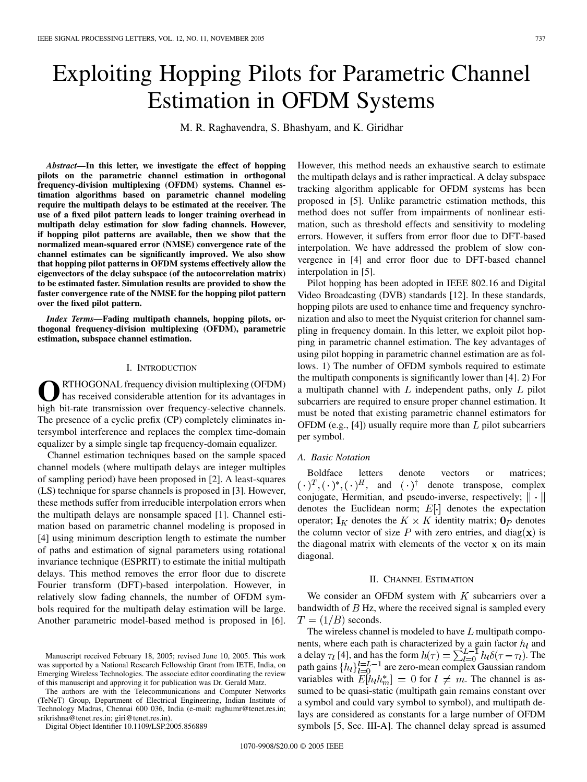# Exploiting Hopping Pilots for Parametric Channel Estimation in OFDM Systems

M. R. Raghavendra, S. Bhashyam, and K. Giridhar

*Abstract—***In this letter, we investigate the effect of hopping pilots on the parametric channel estimation in orthogonal frequency-division multiplexing (OFDM) systems. Channel estimation algorithms based on parametric channel modeling require the multipath delays to be estimated at the receiver. The use of a fixed pilot pattern leads to longer training overhead in multipath delay estimation for slow fading channels. However, if hopping pilot patterns are available, then we show that the normalized mean-squared error (NMSE) convergence rate of the channel estimates can be significantly improved. We also show that hopping pilot patterns in OFDM systems effectively allow the eigenvectors of the delay subspace (of the autocorrelation matrix) to be estimated faster. Simulation results are provided to show the faster convergence rate of the NMSE for the hopping pilot pattern over the fixed pilot pattern.**

*Index Terms—***Fading multipath channels, hopping pilots, orthogonal frequency-division multiplexing (OFDM), parametric estimation, subspace channel estimation.**

# I. INTRODUCTION

**O**RTHOGONAL frequency division multiplexing (OFDM) has received considerable attention for its advantages in high bit-rate transmission over frequency-selective channels. The presence of a cyclic prefix (CP) completely eliminates intersymbol interference and replaces the complex time-domain equalizer by a simple single tap frequency-domain equalizer.

Channel estimation techniques based on the sample spaced channel models (where multipath delays are integer multiples of sampling period) have been proposed in [[2\]](#page-3-0). A least-squares (LS) technique for sparse channels is proposed in [\[3](#page-3-0)]. However, these methods suffer from irreducible interpolation errors when the multipath delays are nonsample spaced [[1\]](#page-3-0). Channel estimation based on parametric channel modeling is proposed in [\[4](#page-3-0)] using minimum description length to estimate the number of paths and estimation of signal parameters using rotational invariance technique (ESPRIT) to estimate the initial multipath delays. This method removes the error floor due to discrete Fourier transform (DFT)-based interpolation. However, in relatively slow fading channels, the number of OFDM symbols required for the multipath delay estimation will be large. Another parametric model-based method is proposed in [\[6](#page-3-0)].

The authors are with the Telecommunications and Computer Networks (TeNeT) Group, Department of Electrical Engineering, Indian Institute of Technology Madras, Chennai 600 036, India (e-mail: raghumr@tenet.res.in; srikrishna@tenet.res.in; giri@tenet.res.in).

Digital Object Identifier 10.1109/LSP.2005.856889

However, this method needs an exhaustive search to estimate the multipath delays and is rather impractical. A delay subspace tracking algorithm applicable for OFDM systems has been proposed in [[5\]](#page-3-0). Unlike parametric estimation methods, this method does not suffer from impairments of nonlinear estimation, such as threshold effects and sensitivity to modeling errors. However, it suffers from error floor due to DFT-based interpolation. We have addressed the problem of slow convergence in [[4\]](#page-3-0) and error floor due to DFT-based channel interpolation in [[5\]](#page-3-0).

Pilot hopping has been adopted in IEEE 802.16 and Digital Video Broadcasting (DVB) standards [\[12](#page-3-0)]. In these standards, hopping pilots are used to enhance time and frequency synchronization and also to meet the Nyquist criterion for channel sampling in frequency domain. In this letter, we exploit pilot hopping in parametric channel estimation. The key advantages of using pilot hopping in parametric channel estimation are as follows. 1) The number of OFDM symbols required to estimate the multipath components is significantly lower than [[4\]](#page-3-0). 2) For a multipath channel with  $L$  independent paths, only  $L$  pilot subcarriers are required to ensure proper channel estimation. It must be noted that existing parametric channel estimators for OFDM (e.g.,  $[4]$  $[4]$ ) usually require more than  $L$  pilot subcarriers per symbol.

## *A. Basic Notation*

Boldface letters denote vectors or matrices;  $(\cdot)^T, (\cdot)^*, (\cdot)^H,$  and  $(\cdot)^{\dagger}$  denote transpose, complex conjugate, Hermitian, and pseudo-inverse, respectively;  $\|\cdot\|$ denotes the Euclidean norm;  $E[\cdot]$  denotes the expectation operator;  $\mathbf{I}_K$  denotes the  $K \times K$  identity matrix;  $\mathbf{0}_P$  denotes the column vector of size  $P$  with zero entries, and diag(x) is the diagonal matrix with elements of the vector  $x$  on its main diagonal.

## II. CHANNEL ESTIMATION

We consider an OFDM system with  $K$  subcarriers over a bandwidth of  $B$  Hz, where the received signal is sampled every  $T = (1/B)$  seconds.

The wireless channel is modeled to have  $L$  multipath components, where each path is characterized by a gain factor  $h_l$  and a delay  $\tau_l$  [[4\]](#page-3-0), and has the form  $h(\tau) = \sum_{l=0}^{L-1} h_l \delta(\tau - \tau_l)$ . The path gains  $\{h_l\}_{l=0}^{l=L-1}$  are zero-mean complex Gaussian random variables with  $E[h_l h_m^*]=0$  for  $l \neq m$ . The channel is assumed to be quasi-static (multipath gain remains constant over a symbol and could vary symbol to symbol), and multipath delays are considered as constants for a large number of OFDM symbols [[5,](#page-3-0) Sec. III-A]. The channel delay spread is assumed

Manuscript received February 18, 2005; revised June 10, 2005. This work was supported by a National Research Fellowship Grant from IETE, India, on Emerging Wireless Technologies. The associate editor coordinating the review of this manuscript and approving it for publication was Dr. Gerald Matz.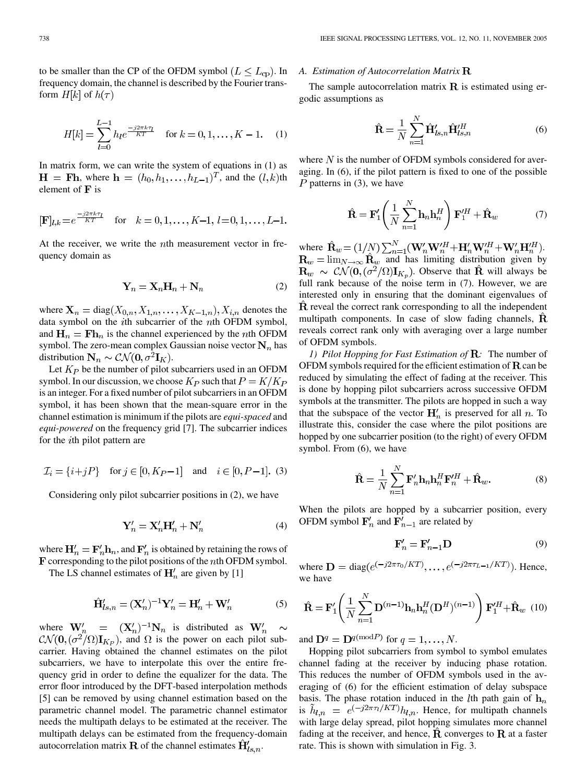to be smaller than the CP of the OFDM symbol  $(L \leq L_{cp})$ . In frequency domain, the channel is described by the Fourier transform  $H[k]$  of  $h(\tau)$ 

$$
H[k] = \sum_{l=0}^{L-1} h_l e^{\frac{-j2\pi k\tau_l}{KT}} \quad \text{for } k = 0, 1, \dots, K-1.
$$
 (1)

In matrix form, we can write the system of equations in (1) as  $H = Fh$ , where  $h = (h_0, h_1, \ldots, h_{L-1})^T$ , and the  $(l, k)$ th element of  $\mathbf F$  is

$$
[\mathbf{F}]_{l,k} = e^{\frac{-j2\pi k\tau_l}{KT}} \quad \text{for} \quad k = 0, 1, \dots, K-1, \ l = 0, 1, \dots, L-1.
$$

At the receiver, we write the *th measurement vector in fre*quency domain as

$$
\mathbf{Y}_n = \mathbf{X}_n \mathbf{H}_n + \mathbf{N}_n \tag{2}
$$

where  $\mathbf{X}_n = \text{diag}(X_{0,n}, X_{1,n}, \dots, X_{K-1,n}), X_{i,n}$  denotes the data symbol on the *i*th subcarrier of the  $n$ th OFDM symbol, and  $\mathbf{H}_n = \mathbf{F} \mathbf{h}_n$  is the channel experienced by the *n*th OFDM symbol. The zero-mean complex Gaussian noise vector  $N_n$  has distribution  $\mathbf{N}_n \sim \mathcal{CN}(\mathbf{0}, \sigma^2 \mathbf{I}_K)$ .

Let  $K_P$  be the number of pilot subcarriers used in an OFDM symbol. In our discussion, we choose  $K_P$  such that  $P = K/K_P$ is an integer. For a fixed number of pilot subcarriers in an OFDM symbol, it has been shown that the mean-square error in the channel estimation is minimum if the pilots are *equi-spaced* and *equi-powered* on the frequency grid [\[7](#page-3-0)]. The subcarrier indices for the  $i$ th pilot pattern are

$$
\mathcal{I}_i = \{i + jP\} \text{ for } j \in [0, K_P - 1] \text{ and } i \in [0, P - 1]. (3)
$$

Considering only pilot subcarrier positions in (2), we have

$$
\mathbf{Y}'_n = \mathbf{X}'_n \mathbf{H}'_n + \mathbf{N}'_n \tag{4}
$$

where  $H'_n = F'_n h_n$ , and  $F'_n$  is obtained by retaining the rows of  $$ 

The LS channel estimates of  $\mathbf{H}'_n$  are given by [\[1](#page-3-0)]

$$
\hat{\mathbf{H}}'_{ls,n} = (\mathbf{X}'_n)^{-1} \mathbf{Y}'_n = \mathbf{H}'_n + \mathbf{W}'_n \tag{5}
$$

where  $\mathbf{W}'_n = (\mathbf{X}'_n)^{-1} \mathbf{N}_n$  is distributed as  $\mathbf{W}'_n \sim$  $\mathcal{CN}(\mathbf{0}, (\sigma^2/\Omega)\mathbf{I}_{K_P})$ , and  $\Omega$  is the power on each pilot subcarrier. Having obtained the channel estimates on the pilot subcarriers, we have to interpolate this over the entire frequency grid in order to define the equalizer for the data. The error floor introduced by the DFT-based interpolation methods [[5\]](#page-3-0) can be removed by using channel estimation based on the parametric channel model. The parametric channel estimator needs the multipath delays to be estimated at the receiver. The multipath delays can be estimated from the frequency-domain autocorrelation matrix **R** of the channel estimates  $\mathbf{H}'_{ls,n}$ .

# *A. Estimation of Autocorrelation Matrix*

The sample autocorrelation matrix  $\bf{R}$  is estimated using ergodic assumptions as

$$
\hat{\mathbf{R}} = \frac{1}{N} \sum_{n=1}^{N} \hat{\mathbf{H}}'_{ls,n} \hat{\mathbf{H}}'^{H}_{ls,n}
$$
(6)

where  $N$  is the number of OFDM symbols considered for averaging. In (6), if the pilot pattern is fixed to one of the possible  $P$  patterns in (3), we have

$$
\hat{\mathbf{R}} = \mathbf{F}'_1 \left( \frac{1}{N} \sum_{n=1}^N \mathbf{h}_n \mathbf{h}_n^H \right) \mathbf{F}'_1^H + \hat{\mathbf{R}}_w \tag{7}
$$

where  $\mathbf{R}_w = (1/N) \sum_{n=1}^N (\mathbf{W}_n' \mathbf{W}_n'^H + \mathbf{H}_n' \mathbf{W}_n'^H + \mathbf{W}_n' \mathbf{H}_n'^H).$ and has limiting distribution given by  $\mathbf{R}_w \sim \mathcal{CN}(\mathbf{0}, (\sigma^2/\Omega)\mathbf{I}_{K_v})$ . Observe that  $\hat{\mathbf{R}}$  will always be full rank because of the noise term in  $(7)$ . However, we are interested only in ensuring that the dominant eigenvalues of  $\bf R$  reveal the correct rank corresponding to all the independent multipath components. In case of slow fading channels,  $\bf{R}$ reveals correct rank only with averaging over a large number of OFDM symbols.

*1) Pilot Hopping for Fast Estimation of* **R**: The number of OFDM symbols required for the efficient estimation of  **can be** reduced by simulating the effect of fading at the receiver. This is done by hopping pilot subcarriers across successive OFDM symbols at the transmitter. The pilots are hopped in such a way that the subspace of the vector  $H'_n$  is preserved for all n. To illustrate this, consider the case where the pilot positions are hopped by one subcarrier position (to the right) of every OFDM symbol. From (6), we have

$$
\hat{\mathbf{R}} = \frac{1}{N} \sum_{n=1}^{N} \mathbf{F}'_n \mathbf{h}_n \mathbf{h}_n^H \mathbf{F}'_n^H + \hat{\mathbf{R}}_w.
$$
 (8)

When the pilots are hopped by a subcarrier position, every OFDM symbol  $\mathbf{F}_n'$  and  $\mathbf{F}_{n-1}'$  are related by

$$
\mathbf{F}'_n = \mathbf{F}'_{n-1} \mathbf{D} \tag{9}
$$

where  $D = diag(e^{(-j2\pi\tau_0/KT)}, \dots, e^{(-j2\pi\tau_{L-1}/KT)})$ . Hence, we have

$$
\hat{\mathbf{R}} = \mathbf{F}_1' \left( \frac{1}{N} \sum_{n=1}^N \mathbf{D}^{(n-1)} \mathbf{h}_n \mathbf{h}_n^H (\mathbf{D}^H)^{(n-1)} \right) \mathbf{F}_1'^H + \hat{\mathbf{R}}_w \tag{10}
$$

and  $\mathbf{D}^q = \mathbf{D}^{q \pmod{P}}$  for  $q = 1, \ldots, N$ .

Hopping pilot subcarriers from symbol to symbol emulates channel fading at the receiver by inducing phase rotation. This reduces the number of OFDM symbols used in the averaging of (6) for the efficient estimation of delay subspace basis. The phase rotation induced in the *l*th path gain of  $h_n$ is  $\tilde{h}_{l,n} = e^{(-j2\pi\tau_l/KT)} h_{l,n}$ . Hence, for multipath channels with large delay spread, pilot hopping simulates more channel fading at the receiver, and hence,  $\hat{\mathbf{R}}$  converges to  $\mathbf{R}$  at a faster rate. This is shown with simulation in Fig. 3.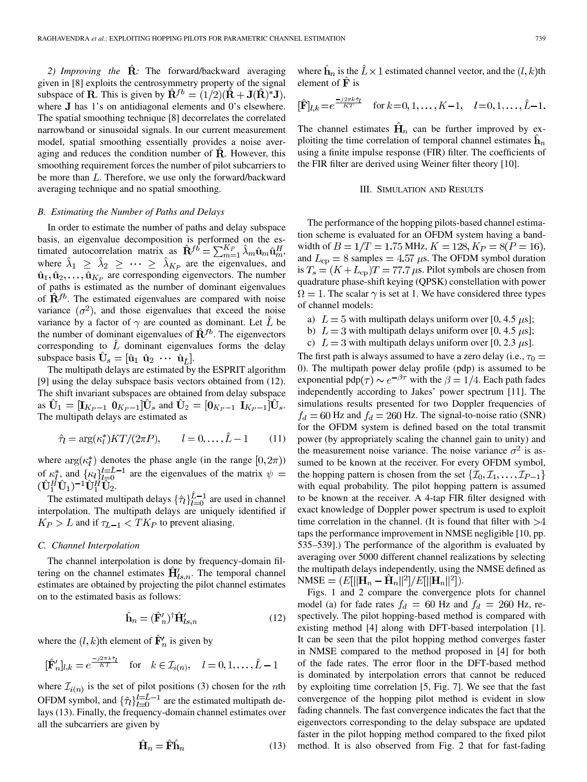2) *Improving the*  $\hat{\mathbf{R}}$ : The forward/backward averaging given in [\[8](#page-3-0)] exploits the centrosymmetry property of the signal subspace of **R**. This is given by  $\hat{\mathbf{R}}^{fb} = (1/2)(\hat{\mathbf{R}} + \mathbf{J}(\hat{\mathbf{R}})^* \mathbf{J})$ , where  $J$  has 1's on antidiagonal elements and 0's elsewhere. The spatial smoothing technique [\[8](#page-3-0)] decorrelates the correlated narrowband or sinusoidal signals. In our current measurement model, spatial smoothing essentially provides a noise averaging and reduces the condition number of  $\hat{\mathbf{R}}$ . However, this smoothing requirement forces the number of pilot subcarriers to be more than  $L$ . Therefore, we use only the forward/backward averaging technique and no spatial smoothing.

# *B. Estimating the Number of Paths and Delays*

In order to estimate the number of paths and delay subspace basis, an eigenvalue decomposition is performed on the estimated autocorrelation matrix as  $\hat{\mathbf{R}}^{f\hat{b}} = \sum_{m=1}^{K_P} \hat{\lambda}_m \hat{\mathbf{u}}_m \hat{\mathbf{u}}_m^H$ , where  $\hat{\lambda}_1 \geq \hat{\lambda}_2 \geq \cdots \geq \hat{\lambda}_{K_P}$  are the eigenvalues, and  $\hat{\mathbf{u}}_1, \hat{\mathbf{u}}_2, \dots, \hat{\mathbf{u}}_{K_P}$  are corresponding eigenvectors. The number of paths is estimated as the number of dominant eigenvalues of  $\hat{\mathbf{R}}^{fb}$ . The estimated eigenvalues are compared with noise variance  $(\sigma^2)$ , and those eigenvalues that exceed the noise variance by a factor of  $\gamma$  are counted as dominant. Let  $\hat{L}$  be the number of dominant eigenvalues of  $\hat{\mathbf{R}}^{fb}$ . The eigenvectors corresponding to  $\hat{L}$  dominant eigenvalues forms the delay subspace basis  $\hat{\mathbf{U}}_s = [\hat{\mathbf{u}}_1 \ \hat{\mathbf{u}}_2 \ \cdots \ \hat{\mathbf{u}}_{\hat{t}}].$ 

The multipath delays are estimated by the ESPRIT algorithm [\[9](#page-3-0)] using the delay subspace basis vectors obtained from (12). The shift invariant subspaces are obtained from delay subspace as  $\hat{\mathbf{U}}_1 = [\mathbf{I}_{K_P-1} \ \mathbf{0}_{K_P-1}]\hat{\mathbf{U}}_s$  and  $\hat{\mathbf{U}}_2 = [\mathbf{0}_{K_P-1} \ \mathbf{I}_{K_P-1}]\hat{\mathbf{U}}_s$ . The multipath delays are estimated as

$$
\hat{\tau}_l = \arg(\kappa_l^*) KT/(2\pi P), \qquad l = 0, \dots, \hat{L} - 1 \tag{11}
$$

where  $\arg(\kappa_l^*)$  denotes the phase angle (in the range  $[0, 2\pi)$ ) of  $\kappa_l^*$ , and  $\{\kappa_l\}_{l=0}^{l=\hat{L}-1}$  are the eigenvalues of the matrix  $\psi =$  $(\hat{\mathbf{U}}_1^H \hat{\mathbf{U}}_1)^{-1} \hat{\mathbf{U}}_1^H \hat{\mathbf{U}}_2.$ 

The estimated multipath delays  $\{\hat{\tau}_l\}_{l=0}^{\hat{L}-1}$  are used in channel interpolation. The multipath delays are uniquely identified if  $K_P > L$  and if  $\tau_{L-1} < T K_P$  to prevent aliasing.

### *C. Channel Interpolation*

The channel interpolation is done by frequency-domain filtering on the channel estimates  $\hat{H}'_{ls,n}$ . The temporal channel estimates are obtained by projecting the pilot channel estimates on to the estimated basis as follows:

$$
\hat{\mathbf{h}}_n = (\hat{\mathbf{F}}'_n)^{\dagger} \hat{\mathbf{H}}'_{ls,n} \tag{12}
$$

where the  $(l, k)$ th element of  $\hat{\mathbf{F}}'_{n}$  is given by

$$
[\hat{\mathbf{F}}'_n]_{l,k} = e^{\frac{-j2\pi k\hat{\tau}_l}{KT}} \quad \text{for} \quad k \in \mathcal{I}_{i(n)}, \quad l = 0, 1, \dots, \hat{L} - 1
$$

where  $\mathcal{I}_{i(n)}$  is the set of pilot positions (3) chosen for the *n*th OFDM symbol, and  $\{\hat{\tau}_l\}_{l=0}^{l=\hat{L}-1}$  are the estimated multipath delays (13). Finally, the frequency-domain channel estimates over all the subcarriers are given by

$$
\hat{\mathbf{H}}_n = \hat{\mathbf{F}} \hat{\mathbf{h}}_n \tag{13}
$$

where  $\hat{\mathbf{h}}_n$  is the  $\hat{L} \times 1$  estimated channel vector, and the  $(l, k)$ th element of  $\hat{\mathbf{F}}$  is

$$
[\hat{\mathbf{F}}]_{l,k} = e^{\frac{-j2\pi k\hat{\tau}_l}{KT}} \quad \text{for } k = 0, 1, \dots, K-1, \quad l = 0, 1, \dots, \hat{L}-1.
$$

The channel estimates  $\hat{H}_n$  can be further improved by exploiting the time correlation of temporal channel estimates  $h_n$ using a finite impulse response (FIR) filter. The coefficients of the FIR filter are derived using Weiner filter theory [[10\]](#page-3-0).

#### III. SIMULATION AND RESULTS

The performance of the hopping pilots-based channel estimation scheme is evaluated for an OFDM system having a bandwidth of  $B = 1/T = 1.75$  MHz,  $K = 128$ ,  $K_P = 8(P = 16)$ , and  $L_{cp} = 8$  samples = 4.57  $\mu$ s. The OFDM symbol duration is  $T_s = (K + L_{cp})T = 77.7 \mu s$ . Pilot symbols are chosen from quadrature phase-shift keying (QPSK) constellation with power  $\Omega = 1$ . The scalar  $\gamma$  is set at 1. We have considered three types of channel models:

- a)  $L = 5$  with multipath delays uniform over [0, 4.5  $\mu$ s];
- b)  $L = 3$  with multipath delays uniform over [0, 4.5  $\mu$ s];
- c)  $L = 3$  with multipath delays uniform over [0, 2.3  $\mu$ s].

The first path is always assumed to have a zero delay (i.e.,  $\tau_0 =$ ). The multipath power delay profile (pdp) is assumed to be exponential pdp( $\tau$ )  $\sim e^{-\beta \tau}$  with the  $\beta = 1/4$ . Each path fades independently according to Jakes' power spectrum [\[11\]](#page-3-0). The simulations results presented for two Doppler frequencies of  $f_d = 60$  Hz and  $f_d = 260$  Hz. The signal-to-noise ratio (SNR) for the OFDM system is defined based on the total transmit power (by appropriately scaling the channel gain to unity) and the measurement noise variance. The noise variance  $\sigma^2$  is assumed to be known at the receiver. For every OFDM symbol, the hopping pattern is chosen from the set  $\{\mathcal{I}_0, \mathcal{I}_1, \ldots, \mathcal{I}_{P-1}\}\$ with equal probability. The pilot hopping pattern is assumed to be known at the receiver. A 4-tap FIR filter designed with exact knowledge of Doppler power spectrum is used to exploit time correlation in the channel. (It is found that filter with  $>4$ taps the performance improvement in NMSE negligible [\[10](#page-3-0), pp. 535–539].) The performance of the algorithm is evaluated by averaging over 5000 different channel realizations by selecting the multipath delays independently, using the NMSE defined as NMSE =  $(E[||\mathbf{H}_n - \hat{\mathbf{H}}_n||^2]/E[||\mathbf{H}_n||^2]).$ 

Figs. 1 and 2 compare the convergence plots for channel model (a) for fade rates  $f_d = 60$  Hz and  $f_d = 260$  Hz, respectively. The pilot hopping-based method is compared with existing method [[4\]](#page-3-0) along with DFT-based interpolation [\[1](#page-3-0)]. It can be seen that the pilot hopping method converges faster in NMSE compared to the method proposed in [\[4](#page-3-0)] for both of the fade rates. The error floor in the DFT-based method is dominated by interpolation errors that cannot be reduced by exploiting time correlation [\[5](#page-3-0), Fig. 7]. We see that the fast convergence of the hopping pilot method is evident in slow fading channels. The fast convergence indicates the fact that the eigenvectors corresponding to the delay subspace are updated faster in the pilot hopping method compared to the fixed pilot method. It is also observed from Fig. 2 that for fast-fading